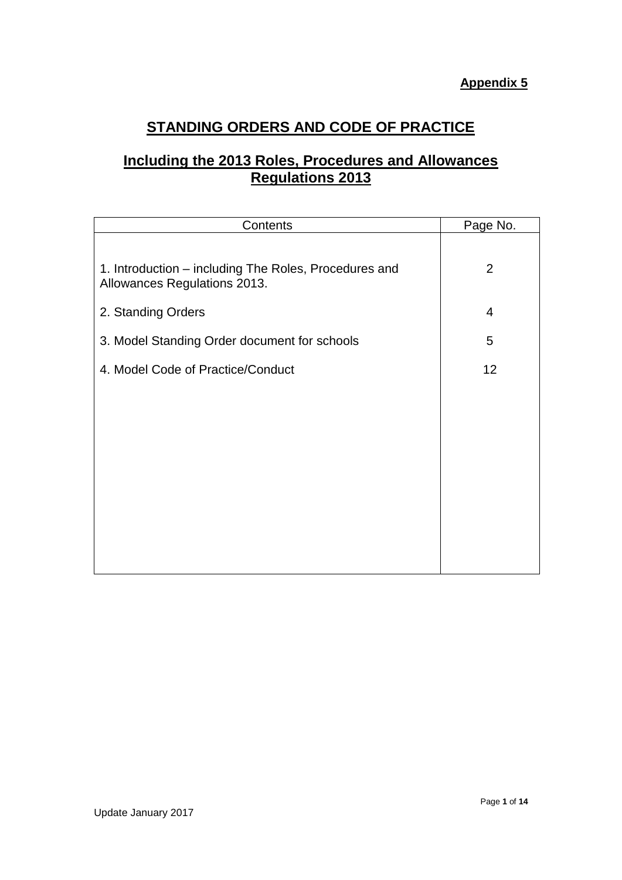# **STANDING ORDERS AND CODE OF PRACTICE**

# **Including the 2013 Roles, Procedures and Allowances Regulations 2013**

| Contents                                                                              | Page No.       |
|---------------------------------------------------------------------------------------|----------------|
| 1. Introduction – including The Roles, Procedures and<br>Allowances Regulations 2013. | $\overline{2}$ |
| 2. Standing Orders                                                                    | 4              |
| 3. Model Standing Order document for schools                                          | 5              |
| 4. Model Code of Practice/Conduct                                                     | 12             |
|                                                                                       |                |
|                                                                                       |                |
|                                                                                       |                |
|                                                                                       |                |
|                                                                                       |                |
|                                                                                       |                |
|                                                                                       |                |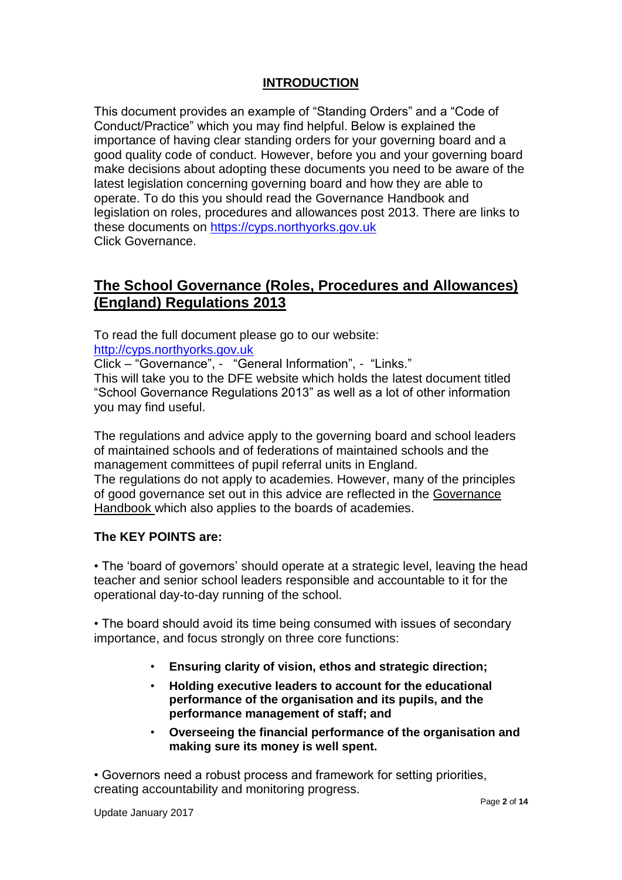# **INTRODUCTION**

This document provides an example of "Standing Orders" and a "Code of Conduct/Practice" which you may find helpful. Below is explained the importance of having clear standing orders for your governing board and a good quality code of conduct. However, before you and your governing board make decisions about adopting these documents you need to be aware of the latest legislation concerning governing board and how they are able to operate. To do this you should read the Governance Handbook and legislation on roles, procedures and allowances post 2013. There are links to these documents on [https://cyps.northyorks.gov.uk](https://cyps.northyorks.gov.uk/) Click Governance.

# **The School Governance (Roles, Procedures and Allowances) (England) Regulations 2013**

To read the full document please go to our website:

[http://cyps.northyorks.gov.uk](http://cyps.northyorks.gov.uk/)

Click – "Governance", - "General Information", - "Links."

This will take you to the DFE website which holds the latest document titled "School Governance Regulations 2013" as well as a lot of other information you may find useful.

The regulations and advice apply to the governing board and school leaders of maintained schools and of federations of maintained schools and the management committees of pupil referral units in England. The regulations do not apply to academies. However, many of the principles of good governance set out in this advice are reflected in the Governance Handbook which also applies to the boards of academies.

#### **The KEY POINTS are:**

• The 'board of governors' should operate at a strategic level, leaving the head teacher and senior school leaders responsible and accountable to it for the operational day-to-day running of the school.

• The board should avoid its time being consumed with issues of secondary importance, and focus strongly on three core functions:

- **Ensuring clarity of vision, ethos and strategic direction;**
- **Holding executive leaders to account for the educational performance of the organisation and its pupils, and the performance management of staff; and**
- **Overseeing the financial performance of the organisation and making sure its money is well spent.**

• Governors need a robust process and framework for setting priorities, creating accountability and monitoring progress.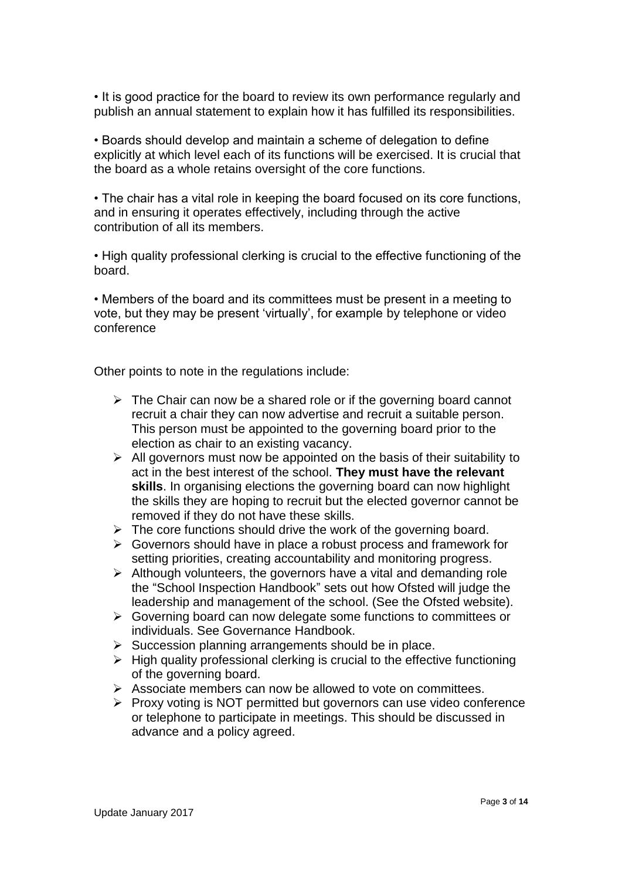• It is good practice for the board to review its own performance regularly and publish an annual statement to explain how it has fulfilled its responsibilities.

• Boards should develop and maintain a scheme of delegation to define explicitly at which level each of its functions will be exercised. It is crucial that the board as a whole retains oversight of the core functions.

• The chair has a vital role in keeping the board focused on its core functions, and in ensuring it operates effectively, including through the active contribution of all its members.

• High quality professional clerking is crucial to the effective functioning of the board.

• Members of the board and its committees must be present in a meeting to vote, but they may be present 'virtually', for example by telephone or video conference

Other points to note in the regulations include:

- $\triangleright$  The Chair can now be a shared role or if the governing board cannot recruit a chair they can now advertise and recruit a suitable person. This person must be appointed to the governing board prior to the election as chair to an existing vacancy.
- $\triangleright$  All governors must now be appointed on the basis of their suitability to act in the best interest of the school. **They must have the relevant skills**. In organising elections the governing board can now highlight the skills they are hoping to recruit but the elected governor cannot be removed if they do not have these skills.
- $\triangleright$  The core functions should drive the work of the governing board.
- ➢ Governors should have in place a robust process and framework for setting priorities, creating accountability and monitoring progress.
- $\triangleright$  Although volunteers, the governors have a vital and demanding role the "School Inspection Handbook" sets out how Ofsted will judge the leadership and management of the school. (See the Ofsted website).
- $\triangleright$  Governing board can now delegate some functions to committees or individuals. See Governance Handbook.
- ➢ Succession planning arrangements should be in place.
- $\triangleright$  High quality professional clerking is crucial to the effective functioning of the governing board.
- ➢ Associate members can now be allowed to vote on committees.
- ➢ Proxy voting is NOT permitted but governors can use video conference or telephone to participate in meetings. This should be discussed in advance and a policy agreed.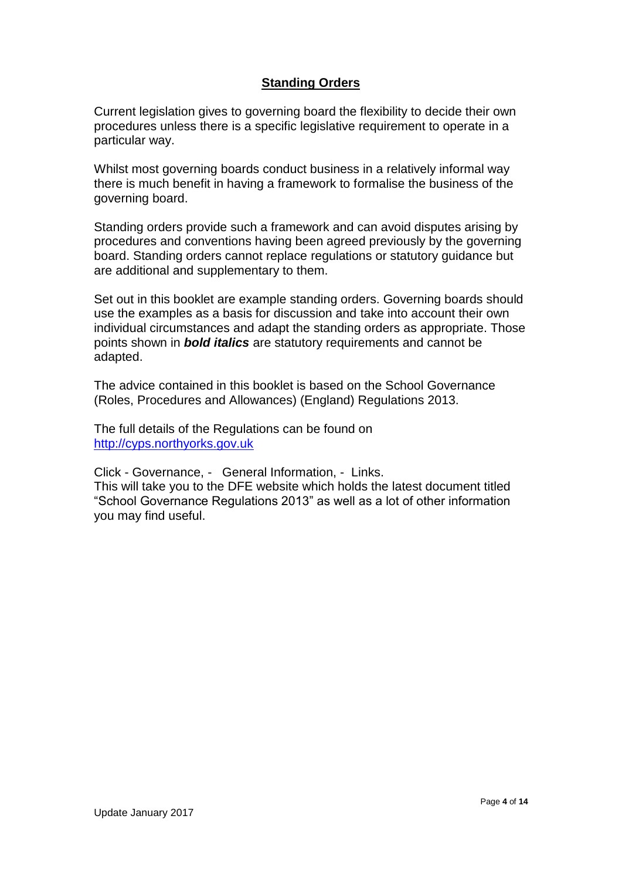# **Standing Orders**

Current legislation gives to governing board the flexibility to decide their own procedures unless there is a specific legislative requirement to operate in a particular way.

Whilst most governing boards conduct business in a relatively informal way there is much benefit in having a framework to formalise the business of the governing board.

Standing orders provide such a framework and can avoid disputes arising by procedures and conventions having been agreed previously by the governing board. Standing orders cannot replace regulations or statutory guidance but are additional and supplementary to them.

Set out in this booklet are example standing orders. Governing boards should use the examples as a basis for discussion and take into account their own individual circumstances and adapt the standing orders as appropriate. Those points shown in *bold italics* are statutory requirements and cannot be adapted.

The advice contained in this booklet is based on the School Governance (Roles, Procedures and Allowances) (England) Regulations 2013.

The full details of the Regulations can be found on [http://cyps.northyorks.gov.uk](http://cyps.northyorks.gov.uk/)

Click - Governance, - General Information, - Links.

This will take you to the DFE website which holds the latest document titled "School Governance Regulations 2013" as well as a lot of other information you may find useful.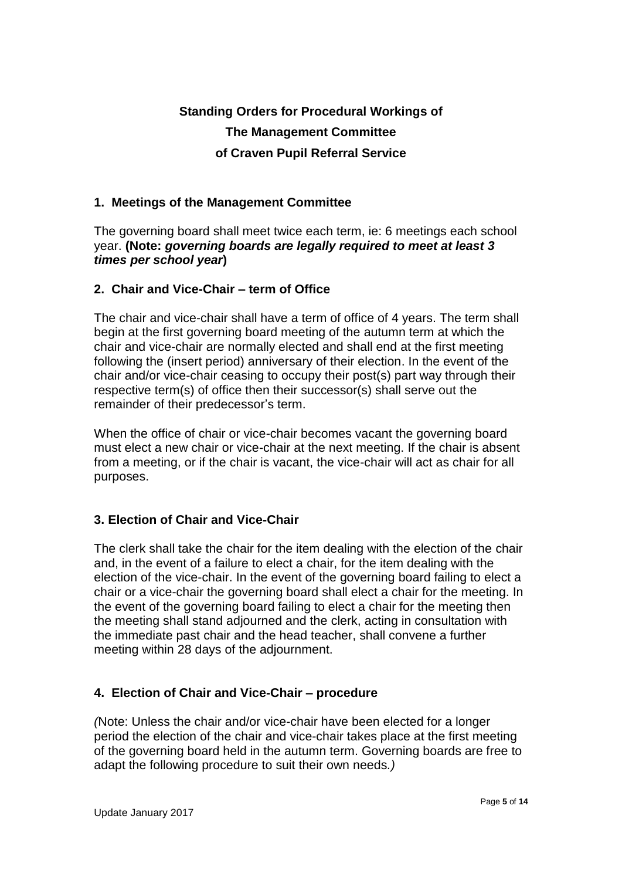# **Standing Orders for Procedural Workings of The Management Committee of Craven Pupil Referral Service**

### **1. Meetings of the Management Committee**

The governing board shall meet twice each term, ie: 6 meetings each school year. **(Note:** *governing boards are legally required to meet at least 3 times per school year***)**

### **2. Chair and Vice-Chair – term of Office**

The chair and vice-chair shall have a term of office of 4 years. The term shall begin at the first governing board meeting of the autumn term at which the chair and vice-chair are normally elected and shall end at the first meeting following the (insert period) anniversary of their election. In the event of the chair and/or vice-chair ceasing to occupy their post(s) part way through their respective term(s) of office then their successor(s) shall serve out the remainder of their predecessor's term.

When the office of chair or vice-chair becomes vacant the governing board must elect a new chair or vice-chair at the next meeting. If the chair is absent from a meeting, or if the chair is vacant, the vice-chair will act as chair for all purposes.

# **3. Election of Chair and Vice-Chair**

The clerk shall take the chair for the item dealing with the election of the chair and, in the event of a failure to elect a chair, for the item dealing with the election of the vice-chair. In the event of the governing board failing to elect a chair or a vice-chair the governing board shall elect a chair for the meeting. In the event of the governing board failing to elect a chair for the meeting then the meeting shall stand adjourned and the clerk, acting in consultation with the immediate past chair and the head teacher, shall convene a further meeting within 28 days of the adjournment.

# **4. Election of Chair and Vice-Chair – procedure**

*(*Note: Unless the chair and/or vice-chair have been elected for a longer period the election of the chair and vice-chair takes place at the first meeting of the governing board held in the autumn term. Governing boards are free to adapt the following procedure to suit their own needs*.)*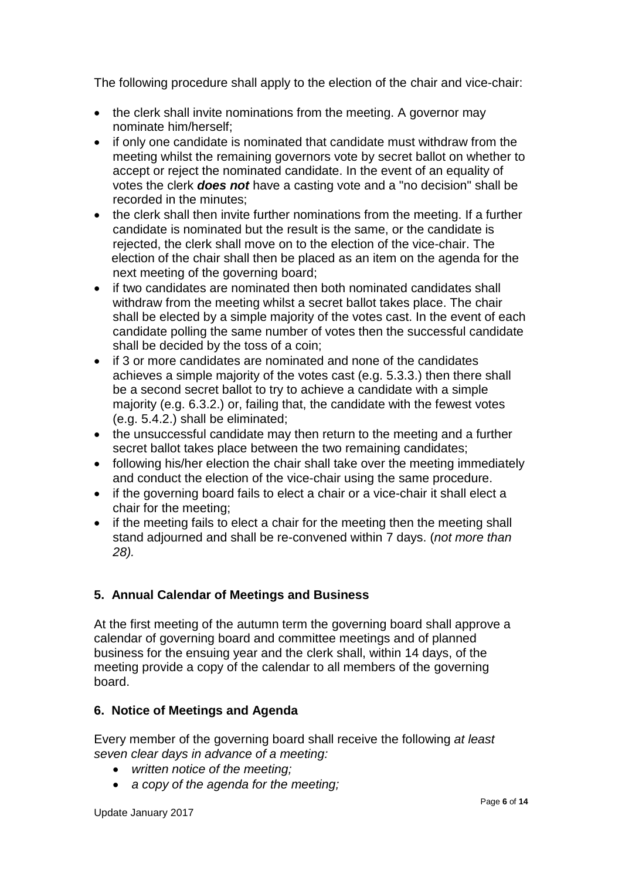The following procedure shall apply to the election of the chair and vice-chair:

- the clerk shall invite nominations from the meeting. A governor may nominate him/herself;
- if only one candidate is nominated that candidate must withdraw from the meeting whilst the remaining governors vote by secret ballot on whether to accept or reject the nominated candidate. In the event of an equality of votes the clerk *does not* have a casting vote and a "no decision" shall be recorded in the minutes;
- the clerk shall then invite further nominations from the meeting. If a further candidate is nominated but the result is the same, or the candidate is rejected, the clerk shall move on to the election of the vice-chair. The election of the chair shall then be placed as an item on the agenda for the next meeting of the governing board;
- if two candidates are nominated then both nominated candidates shall withdraw from the meeting whilst a secret ballot takes place. The chair shall be elected by a simple majority of the votes cast. In the event of each candidate polling the same number of votes then the successful candidate shall be decided by the toss of a coin;
- if 3 or more candidates are nominated and none of the candidates achieves a simple majority of the votes cast (e.g. 5.3.3.) then there shall be a second secret ballot to try to achieve a candidate with a simple majority (e.g. 6.3.2.) or, failing that, the candidate with the fewest votes (e.g. 5.4.2.) shall be eliminated;
- the unsuccessful candidate may then return to the meeting and a further secret ballot takes place between the two remaining candidates;
- following his/her election the chair shall take over the meeting immediately and conduct the election of the vice-chair using the same procedure.
- if the governing board fails to elect a chair or a vice-chair it shall elect a chair for the meeting;
- if the meeting fails to elect a chair for the meeting then the meeting shall stand adjourned and shall be re-convened within 7 days. (*not more than 28).*

# **5. Annual Calendar of Meetings and Business**

At the first meeting of the autumn term the governing board shall approve a calendar of governing board and committee meetings and of planned business for the ensuing year and the clerk shall, within 14 days, of the meeting provide a copy of the calendar to all members of the governing board.

# **6. Notice of Meetings and Agenda**

Every member of the governing board shall receive the following *at least seven clear days in advance of a meeting:* 

- *written notice of the meeting;*
- *a copy of the agenda for the meeting;*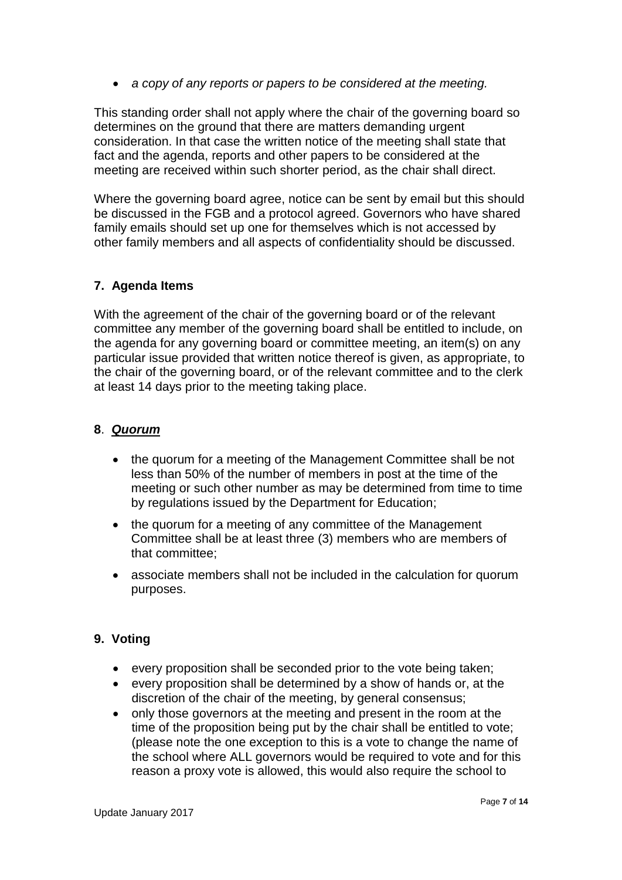• *a copy of any reports or papers to be considered at the meeting.*

This standing order shall not apply where the chair of the governing board so determines on the ground that there are matters demanding urgent consideration. In that case the written notice of the meeting shall state that fact and the agenda, reports and other papers to be considered at the meeting are received within such shorter period, as the chair shall direct.

Where the governing board agree, notice can be sent by email but this should be discussed in the FGB and a protocol agreed. Governors who have shared family emails should set up one for themselves which is not accessed by other family members and all aspects of confidentiality should be discussed.

### **7. Agenda Items**

With the agreement of the chair of the governing board or of the relevant committee any member of the governing board shall be entitled to include, on the agenda for any governing board or committee meeting, an item(s) on any particular issue provided that written notice thereof is given, as appropriate, to the chair of the governing board, or of the relevant committee and to the clerk at least 14 days prior to the meeting taking place.

### **8**. *Quorum*

- the quorum for a meeting of the Management Committee shall be not less than 50% of the number of members in post at the time of the meeting or such other number as may be determined from time to time by regulations issued by the Department for Education;
- the quorum for a meeting of any committee of the Management Committee shall be at least three (3) members who are members of that committee;
- associate members shall not be included in the calculation for quorum purposes.

# **9. Voting**

- every proposition shall be seconded prior to the vote being taken;
- every proposition shall be determined by a show of hands or, at the discretion of the chair of the meeting, by general consensus;
- only those governors at the meeting and present in the room at the time of the proposition being put by the chair shall be entitled to vote; (please note the one exception to this is a vote to change the name of the school where ALL governors would be required to vote and for this reason a proxy vote is allowed, this would also require the school to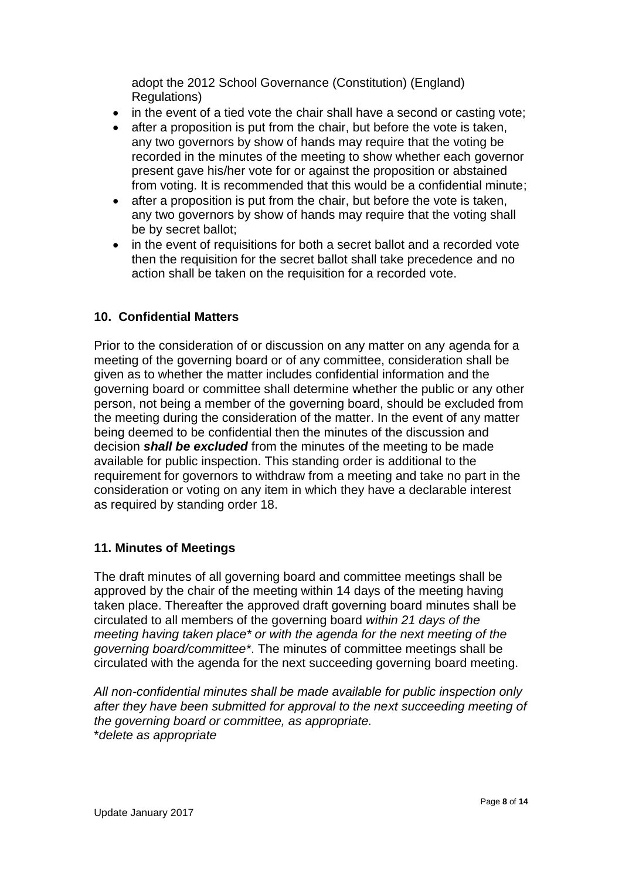adopt the 2012 School Governance (Constitution) (England) Regulations)

- in the event of a tied vote the chair shall have a second or casting vote;
- after a proposition is put from the chair, but before the vote is taken, any two governors by show of hands may require that the voting be recorded in the minutes of the meeting to show whether each governor present gave his/her vote for or against the proposition or abstained from voting. It is recommended that this would be a confidential minute;
- after a proposition is put from the chair, but before the vote is taken, any two governors by show of hands may require that the voting shall be by secret ballot;
- in the event of requisitions for both a secret ballot and a recorded vote then the requisition for the secret ballot shall take precedence and no action shall be taken on the requisition for a recorded vote.

# **10. Confidential Matters**

Prior to the consideration of or discussion on any matter on any agenda for a meeting of the governing board or of any committee, consideration shall be given as to whether the matter includes confidential information and the governing board or committee shall determine whether the public or any other person, not being a member of the governing board, should be excluded from the meeting during the consideration of the matter. In the event of any matter being deemed to be confidential then the minutes of the discussion and decision *shall be excluded* from the minutes of the meeting to be made available for public inspection. This standing order is additional to the requirement for governors to withdraw from a meeting and take no part in the consideration or voting on any item in which they have a declarable interest as required by standing order 18.

#### **11. Minutes of Meetings**

The draft minutes of all governing board and committee meetings shall be approved by the chair of the meeting within 14 days of the meeting having taken place. Thereafter the approved draft governing board minutes shall be circulated to all members of the governing board *within 21 days of the meeting having taken place\* or with the agenda for the next meeting of the governing board/committee\**. The minutes of committee meetings shall be circulated with the agenda for the next succeeding governing board meeting.

*All non-confidential minutes shall be made available for public inspection only after they have been submitted for approval to the next succeeding meeting of the governing board or committee, as appropriate.* \**delete as appropriate*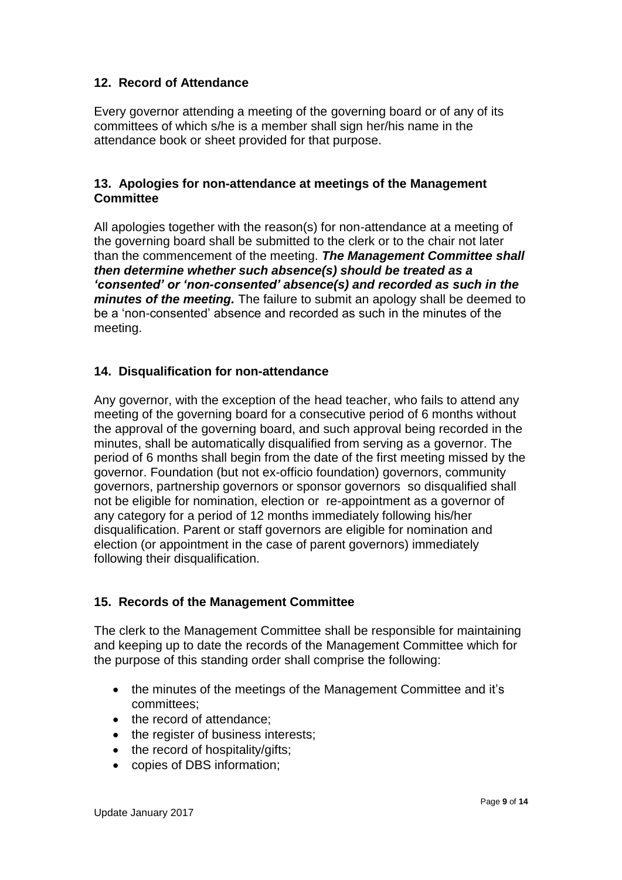### **12. Record of Attendance**

Every governor attending a meeting of the governing board or of any of its committees of which s/he is a member shall sign her/his name in the attendance book or sheet provided for that purpose.

#### **13. Apologies for non-attendance at meetings of the Management Committee**

All apologies together with the reason(s) for non-attendance at a meeting of the governing board shall be submitted to the clerk or to the chair not later than the commencement of the meeting. *The Management Committee shall then determine whether such absence(s) should be treated as a 'consented' or 'non-consented' absence(s) and recorded as such in the minutes of the meeting.* The failure to submit an apology shall be deemed to be a 'non-consented' absence and recorded as such in the minutes of the meeting.

### **14. Disqualification for non-attendance**

Any governor, with the exception of the head teacher, who fails to attend any meeting of the governing board for a consecutive period of 6 months without the approval of the governing board, and such approval being recorded in the minutes, shall be automatically disqualified from serving as a governor. The period of 6 months shall begin from the date of the first meeting missed by the governor. Foundation (but not ex-officio foundation) governors, community governors, partnership governors or sponsor governors so disqualified shall not be eligible for nomination, election or re-appointment as a governor of any category for a period of 12 months immediately following his/her disqualification. Parent or staff governors are eligible for nomination and election (or appointment in the case of parent governors) immediately following their disqualification.

#### **15. Records of the Management Committee**

The clerk to the Management Committee shall be responsible for maintaining and keeping up to date the records of the Management Committee which for the purpose of this standing order shall comprise the following:

- the minutes of the meetings of the Management Committee and it's committees;
- the record of attendance:
- the register of business interests;
- the record of hospitality/gifts;
- copies of DBS information;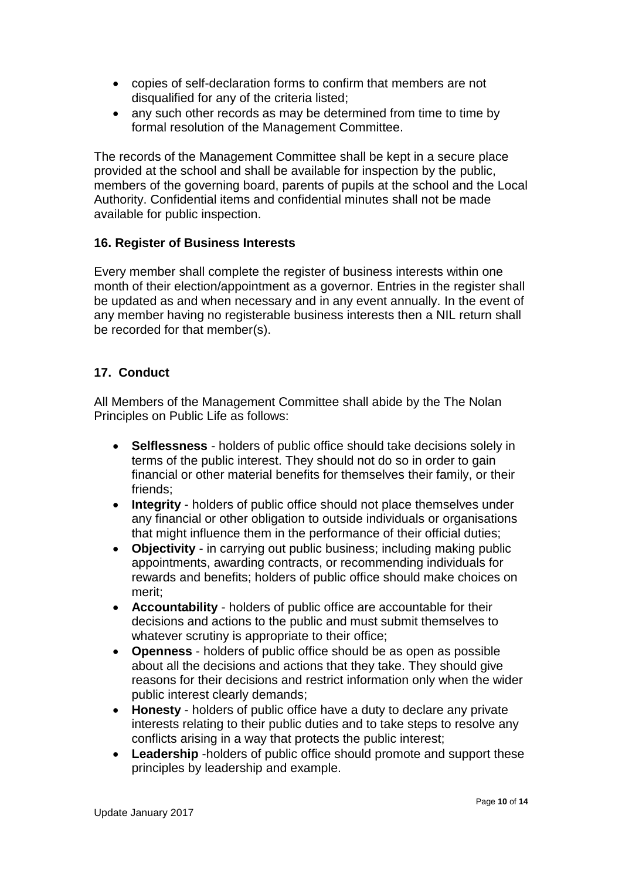- copies of self-declaration forms to confirm that members are not disqualified for any of the criteria listed;
- any such other records as may be determined from time to time by formal resolution of the Management Committee.

The records of the Management Committee shall be kept in a secure place provided at the school and shall be available for inspection by the public, members of the governing board, parents of pupils at the school and the Local Authority. Confidential items and confidential minutes shall not be made available for public inspection.

### **16. Register of Business Interests**

Every member shall complete the register of business interests within one month of their election/appointment as a governor. Entries in the register shall be updated as and when necessary and in any event annually. In the event of any member having no registerable business interests then a NIL return shall be recorded for that member(s).

### **17. Conduct**

All Members of the Management Committee shall abide by the The Nolan Principles on Public Life as follows:

- **Selflessness** holders of public office should take decisions solely in terms of the public interest. They should not do so in order to gain financial or other material benefits for themselves their family, or their friends;
- **Integrity** holders of public office should not place themselves under any financial or other obligation to outside individuals or organisations that might influence them in the performance of their official duties;
- **Objectivity**  in carrying out public business; including making public appointments, awarding contracts, or recommending individuals for rewards and benefits; holders of public office should make choices on merit;
- **Accountability**  holders of public office are accountable for their decisions and actions to the public and must submit themselves to whatever scrutiny is appropriate to their office;
- **Openness**  holders of public office should be as open as possible about all the decisions and actions that they take. They should give reasons for their decisions and restrict information only when the wider public interest clearly demands;
- **Honesty**  holders of public office have a duty to declare any private interests relating to their public duties and to take steps to resolve any conflicts arising in a way that protects the public interest;
- **Leadership** -holders of public office should promote and support these principles by leadership and example.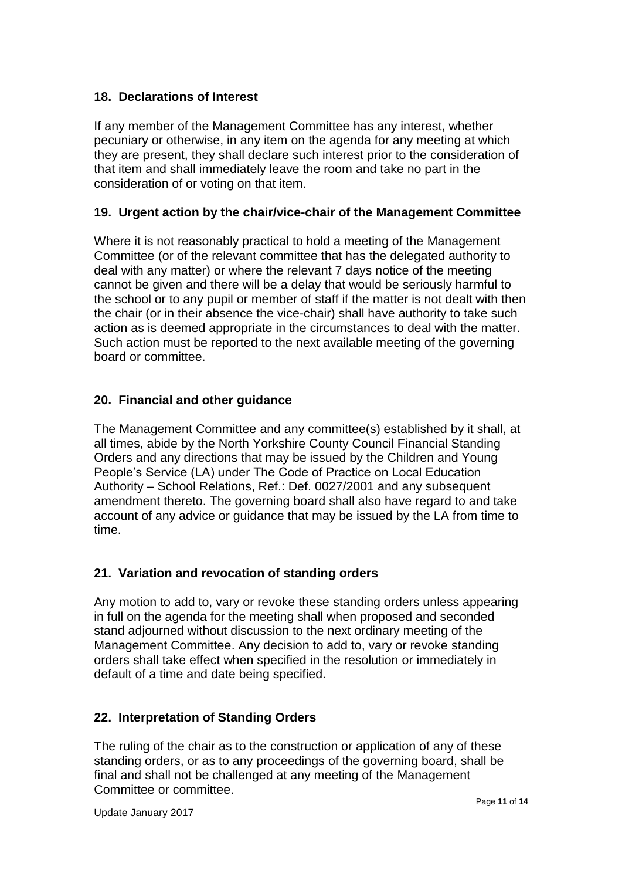### **18. Declarations of Interest**

If any member of the Management Committee has any interest, whether pecuniary or otherwise, in any item on the agenda for any meeting at which they are present, they shall declare such interest prior to the consideration of that item and shall immediately leave the room and take no part in the consideration of or voting on that item.

### **19. Urgent action by the chair/vice-chair of the Management Committee**

Where it is not reasonably practical to hold a meeting of the Management Committee (or of the relevant committee that has the delegated authority to deal with any matter) or where the relevant 7 days notice of the meeting cannot be given and there will be a delay that would be seriously harmful to the school or to any pupil or member of staff if the matter is not dealt with then the chair (or in their absence the vice-chair) shall have authority to take such action as is deemed appropriate in the circumstances to deal with the matter. Such action must be reported to the next available meeting of the governing board or committee.

### **20. Financial and other guidance**

The Management Committee and any committee(s) established by it shall, at all times, abide by the North Yorkshire County Council Financial Standing Orders and any directions that may be issued by the Children and Young People's Service (LA) under The Code of Practice on Local Education Authority – School Relations, Ref.: Def. 0027/2001 and any subsequent amendment thereto. The governing board shall also have regard to and take account of any advice or guidance that may be issued by the LA from time to time.

#### **21. Variation and revocation of standing orders**

Any motion to add to, vary or revoke these standing orders unless appearing in full on the agenda for the meeting shall when proposed and seconded stand adjourned without discussion to the next ordinary meeting of the Management Committee. Any decision to add to, vary or revoke standing orders shall take effect when specified in the resolution or immediately in default of a time and date being specified.

#### **22. Interpretation of Standing Orders**

The ruling of the chair as to the construction or application of any of these standing orders, or as to any proceedings of the governing board, shall be final and shall not be challenged at any meeting of the Management Committee or committee.

Update January 2017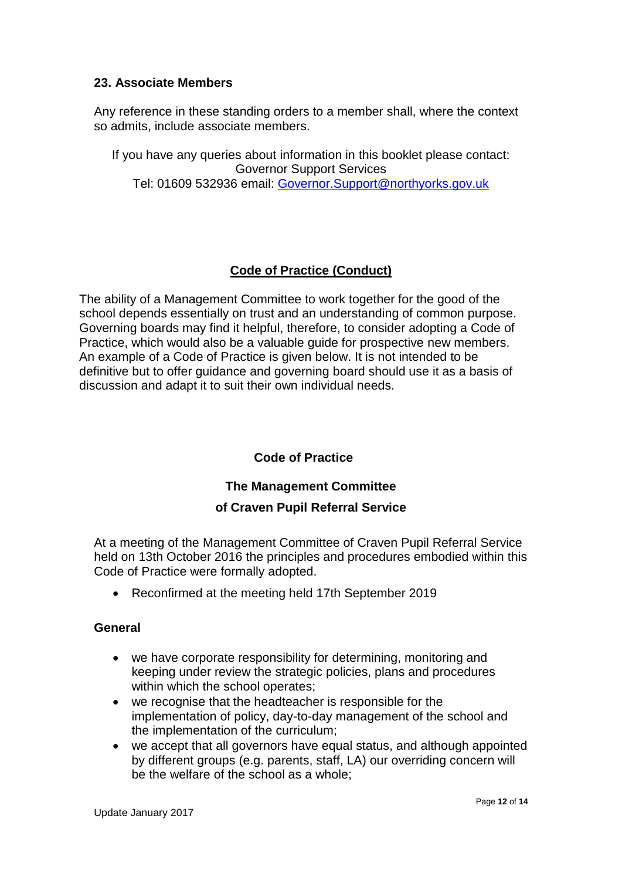#### **23. Associate Members**

Any reference in these standing orders to a member shall, where the context so admits, include associate members.

If you have any queries about information in this booklet please contact: Governor Support Services Tel: 01609 532936 email: [Governor.Support@northyorks.gov.uk](mailto:Governor.Support@northyorks.gov.uk)

# **Code of Practice (Conduct)**

The ability of a Management Committee to work together for the good of the school depends essentially on trust and an understanding of common purpose. Governing boards may find it helpful, therefore, to consider adopting a Code of Practice, which would also be a valuable guide for prospective new members. An example of a Code of Practice is given below. It is not intended to be definitive but to offer guidance and governing board should use it as a basis of discussion and adapt it to suit their own individual needs.

# **Code of Practice**

# **The Management Committee of Craven Pupil Referral Service**

At a meeting of the Management Committee of Craven Pupil Referral Service held on 13th October 2016 the principles and procedures embodied within this Code of Practice were formally adopted.

• Reconfirmed at the meeting held 17th September 2019

#### **General**

- we have corporate responsibility for determining, monitoring and keeping under review the strategic policies, plans and procedures within which the school operates;
- we recognise that the headteacher is responsible for the implementation of policy, day-to-day management of the school and the implementation of the curriculum;
- we accept that all governors have equal status, and although appointed by different groups (e.g. parents, staff, LA) our overriding concern will be the welfare of the school as a whole;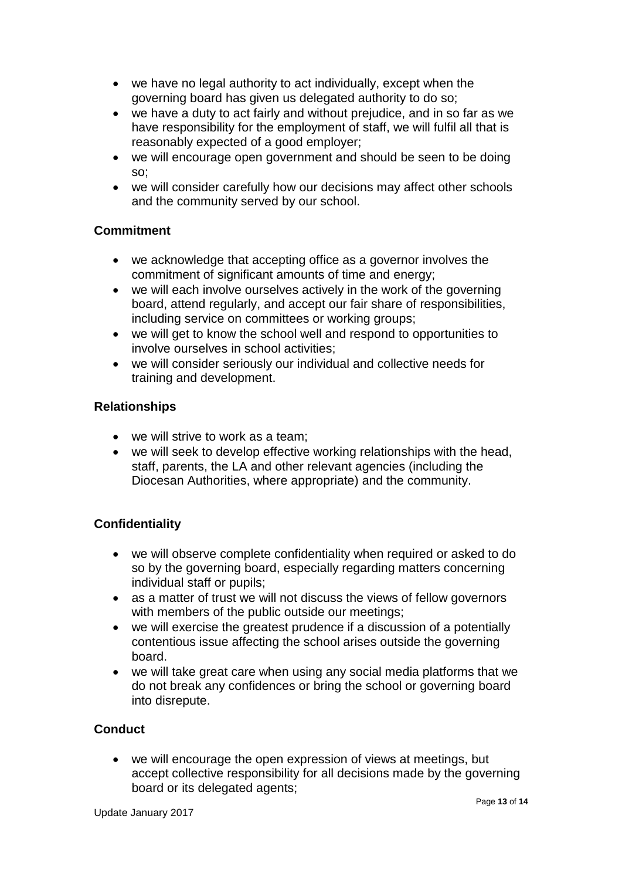- we have no legal authority to act individually, except when the governing board has given us delegated authority to do so;
- we have a duty to act fairly and without prejudice, and in so far as we have responsibility for the employment of staff, we will fulfil all that is reasonably expected of a good employer;
- we will encourage open government and should be seen to be doing so;
- we will consider carefully how our decisions may affect other schools and the community served by our school.

# **Commitment**

- we acknowledge that accepting office as a governor involves the commitment of significant amounts of time and energy;
- we will each involve ourselves actively in the work of the governing board, attend regularly, and accept our fair share of responsibilities, including service on committees or working groups;
- we will get to know the school well and respond to opportunities to involve ourselves in school activities;
- we will consider seriously our individual and collective needs for training and development.

### **Relationships**

- we will strive to work as a team:
- we will seek to develop effective working relationships with the head, staff, parents, the LA and other relevant agencies (including the Diocesan Authorities, where appropriate) and the community.

# **Confidentiality**

- we will observe complete confidentiality when required or asked to do so by the governing board, especially regarding matters concerning individual staff or pupils;
- as a matter of trust we will not discuss the views of fellow governors with members of the public outside our meetings;
- we will exercise the greatest prudence if a discussion of a potentially contentious issue affecting the school arises outside the governing board.
- we will take great care when using any social media platforms that we do not break any confidences or bring the school or governing board into disrepute.

#### **Conduct**

• we will encourage the open expression of views at meetings, but accept collective responsibility for all decisions made by the governing board or its delegated agents;